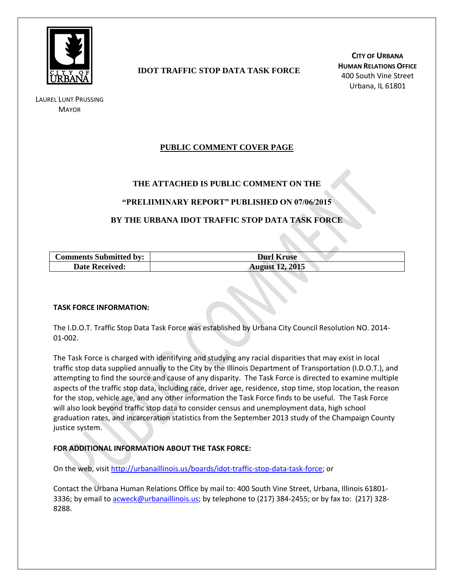

LAUREL LUNT PRUSSING **MAYOR** 

# **IDOT TRAFFIC STOP DATA TASK FORCE**

**CITY OF URBANA HUMAN RELATIONS OFFICE** 400 South Vine Street Urbana, IL 61801

# **PUBLIC COMMENT COVER PAGE**

## **THE ATTACHED IS PUBLIC COMMENT ON THE**

### **"PRELIIMINARY REPORT" PUBLISHED ON 07/06/2015**

## **BY THE URBANA IDOT TRAFFIC STOP DATA TASK FORCE**

| <b>Comments Submitted by:</b> | <b>Durl Kruse</b>      |
|-------------------------------|------------------------|
| <b>Date Received:</b>         | <b>August 12, 2015</b> |

#### **TASK FORCE INFORMATION:**

The I.D.O.T. Traffic Stop Data Task Force was established by Urbana City Council Resolution NO. 2014- 01-002.

The Task Force is charged with identifying and studying any racial disparities that may exist in local traffic stop data supplied annually to the City by the Illinois Department of Transportation (I.D.O.T.), and attempting to find the source and cause of any disparity. The Task Force is directed to examine multiple aspects of the traffic stop data, including race, driver age, residence, stop time, stop location, the reason for the stop, vehicle age, and any other information the Task Force finds to be useful. The Task Force will also look beyond traffic stop data to consider census and unemployment data, high school graduation rates, and incarceration statistics from the September 2013 study of the Champaign County justice system.

### **FOR ADDITIONAL INFORMATION ABOUT THE TASK FORCE:**

On the web, visit [http://urbanaillinois.us/boards/idot-traffic-stop-data-task-force;](http://urbanaillinois.us/boards/idot-traffic-stop-data-task-force) or

Contact the Urbana Human Relations Office by mail to: 400 South Vine Street, Urbana, Illinois 61801 3336; by email to [acweck@urbanaillinois.us;](mailto:acweck@urbanaillinois.us) by telephone to (217) 384-2455; or by fax to: (217) 328-8288.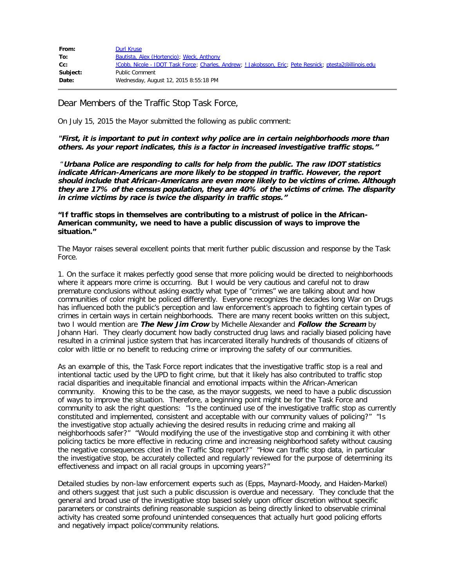| From:    | <b>Durl Kruse</b>                                                                                              |
|----------|----------------------------------------------------------------------------------------------------------------|
| To:      | Bautista, Alex (Hortencio); Weck, Anthony                                                                      |
| Cc:      | <u>!Cobb, Nicole - IDOT Task Force; Charles, Andrew; ! Jakobsson, Eric; Pete Resnick; ptesta2@illinois.edu</u> |
| Subject: | <b>Public Comment</b>                                                                                          |
| Date:    | Wednesday, August 12, 2015 8:55:18 PM                                                                          |

Dear Members of the Traffic Stop Task Force,

On July 15, 2015 the Mayor submitted the following as public comment:

**"First, it is important to put in context why police are in certain neighborhoods more than others. As your report indicates, this is a factor in increased investigative traffic stops."**

"**Urbana Police are responding to calls for help from the public. The raw lDOT statistics indicate African-Americans are more likely to be stopped in traffic. However, the report should include that African-Americans are even more likely to be victims of crime. Although they are 17% of the census population, they are 40% of the victims of crime. The disparity in crime victims by race is twice the disparity in traffic stops."** 

**"If traffic stops in themselves are contributing to a mistrust of police in the African-American community, we need to have a public discussion of ways to improve the situation."**

The Mayor raises several excellent points that merit further public discussion and response by the Task Force.

1. On the surface it makes perfectly good sense that more policing would be directed to neighborhoods where it appears more crime is occurring. But I would be very cautious and careful not to draw premature conclusions without asking exactly what type of "crimes" we are talking about and how communities of color might be policed differently. Everyone recognizes the decades long War on Drugs has influenced both the public's perception and law enforcement's approach to fighting certain types of crimes in certain ways in certain neighborhoods. There are many recent books written on this subject, two I would mention are **The New Jim Crow** by Michelle Alexander and **Follow the Scream** by Johann Hari. They clearly document how badly constructed drug laws and racially biased policing have resulted in a criminal justice system that has incarcerated literally hundreds of thousands of citizens of color with little or no benefit to reducing crime or improving the safety of our communities.

As an example of this, the Task Force report indicates that the investigative traffic stop is a real and intentional tactic used by the UPD to fight crime, but that it likely has also contributed to traffic stop racial disparities and inequitable financial and emotional impacts within the African-American community. Knowing this to be the case, as the mayor suggests, we need to have a public discussion of ways to improve the situation. Therefore, a beginning point might be for the Task Force and community to ask the right questions: "Is the continued use of the investigative traffic stop as currently constituted and implemented, consistent and acceptable with our community values of policing?" "Is the investigative stop actually achieving the desired results in reducing crime and making all neighborhoods safer?" "Would modifying the use of the investigative stop and combining it with other policing tactics be more effective in reducing crime and increasing neighborhood safety without causing the negative consequences cited in the Traffic Stop report?" "How can traffic stop data, in particular the investigative stop, be accurately collected and regularly reviewed for the purpose of determining its effectiveness and impact on all racial groups in upcoming years?"

Detailed studies by non-law enforcement experts such as (Epps, Maynard-Moody, and Haiden-Markel) and others suggest that just such a public discussion is overdue and necessary. They conclude that the general and broad use of the investigative stop based solely upon officer discretion without specific parameters or constraints defining reasonable suspicion as being directly linked to observable criminal activity has created some profound unintended consequences that actually hurt good policing efforts and negatively impact police/community relations.